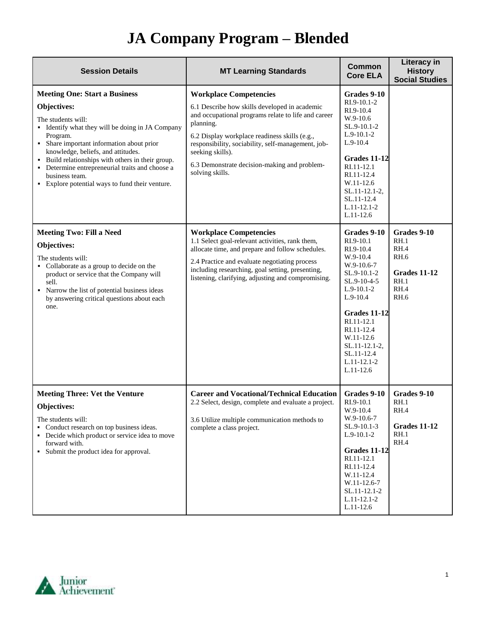| <b>Session Details</b>                                                                                                                                                                                                                                                                                                                                                                                    | <b>MT Learning Standards</b>                                                                                                                                                                                                                                                                                                                     | <b>Common</b><br><b>Core ELA</b>                                                                                                                                                                                                                             | Literacy in<br><b>History</b><br><b>Social Studies</b>                                    |
|-----------------------------------------------------------------------------------------------------------------------------------------------------------------------------------------------------------------------------------------------------------------------------------------------------------------------------------------------------------------------------------------------------------|--------------------------------------------------------------------------------------------------------------------------------------------------------------------------------------------------------------------------------------------------------------------------------------------------------------------------------------------------|--------------------------------------------------------------------------------------------------------------------------------------------------------------------------------------------------------------------------------------------------------------|-------------------------------------------------------------------------------------------|
| <b>Meeting One: Start a Business</b><br>Objectives:<br>The students will:<br>• Identify what they will be doing in JA Company<br>Program.<br>• Share important information about prior<br>knowledge, beliefs, and attitudes.<br>• Build relationships with others in their group.<br>• Determine entrepreneurial traits and choose a<br>business team.<br>• Explore potential ways to fund their venture. | <b>Workplace Competencies</b><br>6.1 Describe how skills developed in academic<br>and occupational programs relate to life and career<br>planning.<br>6.2 Display workplace readiness skills (e.g.,<br>responsibility, sociability, self-management, job-<br>seeking skills).<br>6.3 Demonstrate decision-making and problem-<br>solving skills. | Grades 9-10<br>RI.9-10.1-2<br>RI.9-10.4<br>W.9-10.6<br>SL.9-10.1-2<br>$L.9-10.1-2$<br>$L.9-10.4$<br>Grades 11-12<br>RI.11-12.1<br>RI.11-12.4<br>W.11-12.6<br>$SL.11-12.1-2$ ,<br>SL.11-12.4<br>L.11-12.1-2<br>$L.11-12.6$                                    |                                                                                           |
| <b>Meeting Two: Fill a Need</b><br>Objectives:<br>The students will:<br>• Collaborate as a group to decide on the<br>product or service that the Company will<br>sell.<br>• Narrow the list of potential business ideas<br>by answering critical questions about each<br>one.                                                                                                                             | <b>Workplace Competencies</b><br>1.1 Select goal-relevant activities, rank them,<br>allocate time, and prepare and follow schedules.<br>2.4 Practice and evaluate negotiating process<br>including researching, goal setting, presenting,<br>listening, clarifying, adjusting and compromising.                                                  | Grades 9-10<br>RI.9-10.1<br>RI.9-10.4<br>W.9-10.4<br>W.9-10.6-7<br>SL.9-10.1-2<br>SL.9-10-4-5<br>$L.9-10.1-2$<br>$L.9 - 10.4$<br>Grades 11-12<br>RI.11-12.1<br>RI.11-12.4<br>W.11-12.6<br>$SL.11-12.1-2$ ,<br>SL.11-12.4<br>$L.11 - 12.1 - 2$<br>$L.11-12.6$ | Grades 9-10<br>RH.1<br>RH.4<br><b>RH.6</b><br><b>Grades 11-12</b><br>RH.1<br>RH.4<br>RH.6 |
| <b>Meeting Three: Vet the Venture</b><br>Objectives:<br>The students will:<br>• Conduct research on top business ideas.<br>• Decide which product or service idea to move<br>forward with.<br>• Submit the product idea for approval.                                                                                                                                                                     | <b>Career and Vocational/Technical Education</b><br>2.2 Select, design, complete and evaluate a project.<br>3.6 Utilize multiple communication methods to<br>complete a class project.                                                                                                                                                           | Grades 9-10<br>RI.9-10.1<br>W.9-10.4<br>W.9-10.6-7<br>SL.9-10.1-3<br>$L.9-10.1-2$<br><b>Grades 11-12</b><br>RI.11-12.1<br>RI.11-12.4<br>W.11-12.4<br>W.11-12.6-7<br>SL.11-12.1-2<br>$L.11 - 12.1 - 2$<br>$L.11-12.6$                                         | Grades 9-10<br>RH.1<br>RH.4<br><b>Grades 11-12</b><br>RH.1<br>RH.4                        |

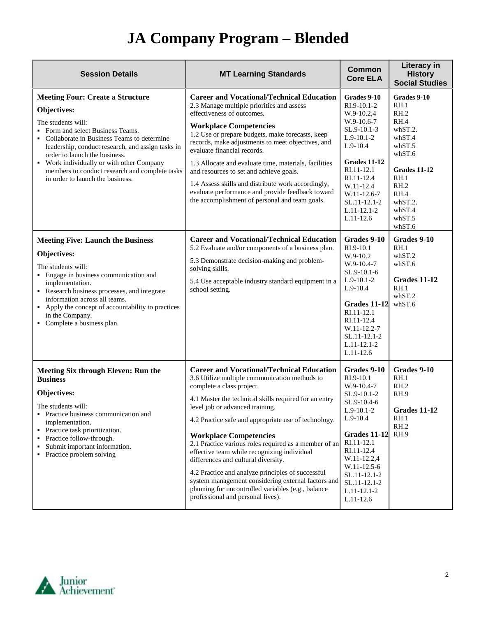| <b>Session Details</b>                                                                                                                                                                                                                                                                                                                                                                   | <b>MT Learning Standards</b>                                                                                                                                                                                                                                                                                                                                                                                                                                                                                                                                                                                                                                             | <b>Common</b><br><b>Core ELA</b>                                                                                                                                                                                                               | Literacy in<br><b>History</b><br><b>Social Studies</b>                                                                                                        |
|------------------------------------------------------------------------------------------------------------------------------------------------------------------------------------------------------------------------------------------------------------------------------------------------------------------------------------------------------------------------------------------|--------------------------------------------------------------------------------------------------------------------------------------------------------------------------------------------------------------------------------------------------------------------------------------------------------------------------------------------------------------------------------------------------------------------------------------------------------------------------------------------------------------------------------------------------------------------------------------------------------------------------------------------------------------------------|------------------------------------------------------------------------------------------------------------------------------------------------------------------------------------------------------------------------------------------------|---------------------------------------------------------------------------------------------------------------------------------------------------------------|
| <b>Meeting Four: Create a Structure</b><br>Objectives:<br>The students will:<br>• Form and select Business Teams.<br>Collaborate in Business Teams to determine<br>leadership, conduct research, and assign tasks in<br>order to launch the business.<br>• Work individually or with other Company<br>members to conduct research and complete tasks<br>in order to launch the business. | <b>Career and Vocational/Technical Education</b><br>2.3 Manage multiple priorities and assess<br>effectiveness of outcomes.<br><b>Workplace Competencies</b><br>1.2 Use or prepare budgets, make forecasts, keep<br>records, make adjustments to meet objectives, and<br>evaluate financial records.<br>1.3 Allocate and evaluate time, materials, facilities<br>and resources to set and achieve goals.<br>1.4 Assess skills and distribute work accordingly,<br>evaluate performance and provide feedback toward<br>the accomplishment of personal and team goals.                                                                                                     | Grades 9-10<br>RI.9-10.1-2<br>W.9-10.2,4<br>$W.9-10.6-7$<br>SL.9-10.1-3<br>$L.9-10.1-2$<br>$L.9-10.4$<br>Grades 11-12<br>RI.11-12.1<br>RI.11-12.4<br>W.11-12.4<br>W.11-12.6-7<br>SL.11-12.1-2<br>$L.11 - 12.1 - 2$<br>$L.11-12.6$              | Grades 9-10<br>RH.1<br>RH.2<br>RH.4<br>whST.2.<br>whST.4<br>whST.5<br>whST.6<br>Grades 11-12<br>RH.1<br>RH.2<br>RH.4<br>whST.2.<br>whST.4<br>whST.5<br>whST.6 |
| <b>Meeting Five: Launch the Business</b><br>Objectives:<br>The students will:<br>• Engage in business communication and<br>implementation.<br>Research business processes, and integrate<br>information across all teams.<br>• Apply the concept of accountability to practices<br>in the Company.<br>• Complete a business plan.                                                        | <b>Career and Vocational/Technical Education</b><br>5.2 Evaluate and/or components of a business plan.<br>5.3 Demonstrate decision-making and problem-<br>solving skills.<br>5.4 Use acceptable industry standard equipment in a<br>school setting.                                                                                                                                                                                                                                                                                                                                                                                                                      | Grades 9-10<br>RI.9-10.1<br>W.9-10.2<br>W.9-10.4-7<br>SL.9-10.1-6<br>$L.9-10.1-2$<br>$L.9-10.4$<br>Grades 11-12<br>RI.11-12.1<br>RI.11-12.4<br>W.11-12.2-7<br>SL.11-12.1-2<br>$L.11 - 12.1 - 2$<br>$L.11-12.6$                                 | Grades 9-10<br>RH.1<br>whST.2<br>whST.6<br>Grades 11-12<br>RH.1<br>whST.2<br>whST.6                                                                           |
| <b>Meeting Six through Eleven: Run the</b><br><b>Business</b><br>Objectives:<br>The students will:<br>• Practice business communication and<br>implementation.<br>• Practice task prioritization.<br>• Practice follow-through.<br>Submit important information.<br>• Practice problem solving                                                                                           | <b>Career and Vocational/Technical Education</b><br>3.6 Utilize multiple communication methods to<br>complete a class project.<br>4.1 Master the technical skills required for an entry<br>level job or advanced training.<br>4.2 Practice safe and appropriate use of technology.<br><b>Workplace Competencies</b><br>2.1 Practice various roles required as a member of an<br>effective team while recognizing individual<br>differences and cultural diversity.<br>4.2 Practice and analyze principles of successful<br>system management considering external factors and<br>planning for uncontrolled variables (e.g., balance<br>professional and personal lives). | Grades 9-10<br>RI.9-10.1<br>W.9-10.4-7<br>SL.9-10.1-2<br>SL.9-10.4-6<br>$L.9-10.1-2$<br>$L.9-10.4$<br>Grades 11-12<br>RI.11-12.1<br>RI.11-12.4<br>W.11-12.2,4<br>W.11-12.5-6<br>SL.11-12.1-2<br>SL.11-12.1-2<br>$L.11 - 12.1 - 2$<br>L.11-12.6 | Grades 9-10<br>RH.1<br>RH.2<br>RH.9<br><b>Grades 11-12</b><br>RH.1<br>RH.2<br>RH.9                                                                            |

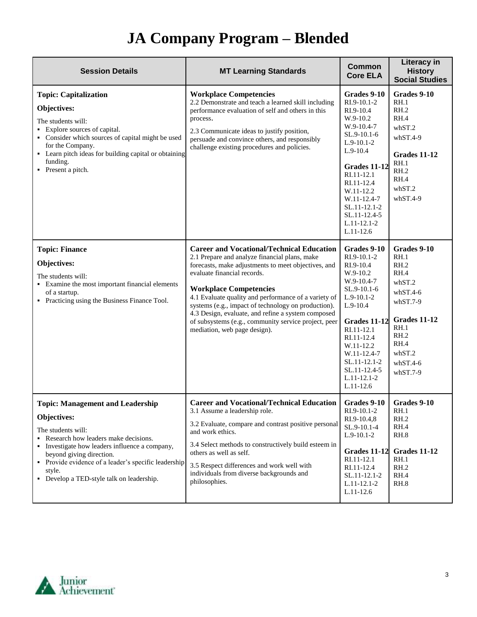| <b>Session Details</b>                                                                                                                                                                                                                                                                                                   | <b>MT Learning Standards</b>                                                                                                                                                                                                                                                                                                                                                                                                                                                          | <b>Common</b><br><b>Core ELA</b>                                                                                                                                                                                                                                  | <b>Literacy in</b><br><b>History</b><br><b>Social Studies</b>                                                                                           |
|--------------------------------------------------------------------------------------------------------------------------------------------------------------------------------------------------------------------------------------------------------------------------------------------------------------------------|---------------------------------------------------------------------------------------------------------------------------------------------------------------------------------------------------------------------------------------------------------------------------------------------------------------------------------------------------------------------------------------------------------------------------------------------------------------------------------------|-------------------------------------------------------------------------------------------------------------------------------------------------------------------------------------------------------------------------------------------------------------------|---------------------------------------------------------------------------------------------------------------------------------------------------------|
| <b>Topic: Capitalization</b><br>Objectives:<br>The students will:<br>• Explore sources of capital.<br>• Consider which sources of capital might be used<br>for the Company.<br>• Learn pitch ideas for building capital or obtaining<br>funding.<br>• Present a pitch.                                                   | <b>Workplace Competencies</b><br>2.2 Demonstrate and teach a learned skill including<br>performance evaluation of self and others in this<br>process.<br>2.3 Communicate ideas to justify position,<br>persuade and convince others, and responsibly<br>challenge existing procedures and policies.                                                                                                                                                                                   | Grades 9-10<br>RI.9-10.1-2<br>RI.9-10.4<br>W.9-10.2<br>W.9-10.4-7<br>SL.9-10.1-6<br>$L.9-10.1-2$<br>$L.9-10.4$<br><b>Grades 11-12</b><br>RI.11-12.1<br>RI.11-12.4<br>W.11-12.2<br>W.11-12.4-7<br>SL.11-12.1-2<br>SL.11-12.4-5<br>$L.11 - 12.1 - 2$<br>$L.11-12.6$ | Grades 9-10<br>RH.1<br>RH.2<br>RH.4<br>whST.2<br>$whST.4-9$<br>Grades 11-12<br>RH.1<br>RH.2<br>RH.4<br>whST.2<br>$whST.4-9$                             |
| <b>Topic: Finance</b><br>Objectives:<br>The students will:<br>• Examine the most important financial elements<br>of a startup.<br>• Practicing using the Business Finance Tool.                                                                                                                                          | <b>Career and Vocational/Technical Education</b><br>2.1 Prepare and analyze financial plans, make<br>forecasts, make adjustments to meet objectives, and<br>evaluate financial records.<br><b>Workplace Competencies</b><br>4.1 Evaluate quality and performance of a variety of<br>systems (e.g., impact of technology on production).<br>4.3 Design, evaluate, and refine a system composed<br>of subsystems (e.g., community service project, peer<br>mediation, web page design). | Grades 9-10<br>RI.9-10.1-2<br>RI.9-10.4<br>W.9-10.2<br>W.9-10.4-7<br>SL.9-10.1-6<br>$L.9-10.1-2$<br>$L.9-10.4$<br>Grades 11-12<br>RI.11-12.1<br>RI.11-12.4<br>W.11-12.2<br>W.11-12.4-7<br>SL.11-12.1-2<br>SL.11-12.4-5<br>$L.11 - 12.1 - 2$<br>$L.11-12.6$        | Grades 9-10<br>RH.1<br>RH.2<br>RH.4<br>whST.2<br>$whST.4-6$<br>$whST.7-9$<br>Grades 11-12<br>RH.1<br>RH.2<br>RH.4<br>whST.2<br>$whST.4-6$<br>$whST.7-9$ |
| <b>Topic: Management and Leadership</b><br><b>Objectives:</b><br>The students will:<br>Research how leaders make decisions.<br>• Investigate how leaders influence a company,<br>beyond giving direction.<br>• Provide evidence of a leader's specific leadership<br>style.<br>• Develop a TED-style talk on leadership. | <b>Career and Vocational/Technical Education</b><br>3.1 Assume a leadership role.<br>3.2 Evaluate, compare and contrast positive personal<br>and work ethics.<br>3.4 Select methods to constructively build esteem in<br>others as well as self.<br>3.5 Respect differences and work well with<br>individuals from diverse backgrounds and<br>philosophies.                                                                                                                           | Grades 9-10<br>RI.9-10.1-2<br>RI.9-10.4,8<br>SL.9-10.1-4<br>$L.9-10.1-2$<br><b>Grades 11-12</b><br>RI.11-12.1<br>RI.11-12.4<br>SL.11-12.1-2<br>$L.11 - 12.1 - 2$<br>$L.11-12.6$                                                                                   | Grades 9-10<br>RH.1<br>RH.2<br>RH.4<br>RH.8<br><b>Grades 11-12</b><br>RH.1<br>RH.2<br>RH.4<br>RH.8                                                      |

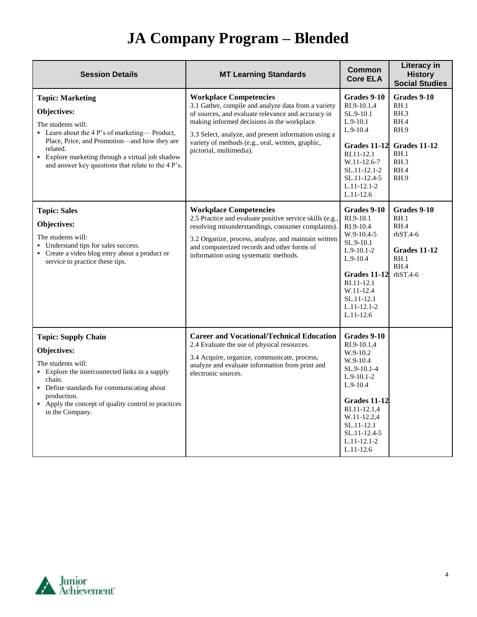| <b>Session Details</b>                                                                                                                                                                                                                                                              | <b>MT Learning Standards</b>                                                                                                                                                                                                                                                                                                      | <b>Common</b><br><b>Core ELA</b>                                                                                                                                                                                   | <b>Literacy in</b><br><b>History</b><br><b>Social Studies</b>                                      |
|-------------------------------------------------------------------------------------------------------------------------------------------------------------------------------------------------------------------------------------------------------------------------------------|-----------------------------------------------------------------------------------------------------------------------------------------------------------------------------------------------------------------------------------------------------------------------------------------------------------------------------------|--------------------------------------------------------------------------------------------------------------------------------------------------------------------------------------------------------------------|----------------------------------------------------------------------------------------------------|
| <b>Topic: Marketing</b><br>Objectives:<br>The students will:<br>• Learn about the 4 P's of marketing—Product,<br>Place, Price, and Promotion-and how they are<br>related.<br>• Explore marketing through a virtual job shadow<br>and answer key questions that relate to the 4 P's. | <b>Workplace Competencies</b><br>3.1 Gather, compile and analyze data from a variety<br>of sources, and evaluate relevance and accuracy in<br>making informed decisions in the workplace.<br>3.3 Select, analyze, and present information using a<br>variety of methods (e.g., oral, written, graphic,<br>pictorial, multimedia). | Grades 9-10<br>RI.9-10.1.4<br>SL.9-10.1<br>$L.9-10.1$<br>$L.9-10.4$<br>Grades 11-12<br>RI.11-12.1<br>W.11-12.6-7<br>SL.11-12.1-2<br>SL.11-12.4-5<br>$L.11 - 12.1 - 2$<br>$L.11-12.6$                               | Grades 9-10<br>RH.1<br>RH.3<br>RH.4<br><b>RH.9</b><br>Grades 11-12<br>RH.1<br>RH.3<br>RH.4<br>RH.9 |
| <b>Topic: Sales</b><br>Objectives:<br>The students will:<br>• Understand tips for sales success.<br>• Create a video blog entry about a product or<br>service to practice these tips.                                                                                               | <b>Workplace Competencies</b><br>2.5 Practice and evaluate positive service skills (e.g.,<br>resolving misunderstandings, consumer complaints).<br>3.2 Organize, process, analyze, and maintain written<br>and computerized records and other forms of<br>information using systematic methods.                                   | Grades 9-10<br>RI.9-10.1<br>RI.9-10.4<br>$W.9-10.4-5$<br>SL.9-10.1<br>$L.9-10.1-2$<br>$L.9 - 10.4$<br><b>Grades 11-12</b><br>RI.11-12.1<br>W.11-12.4<br>SL.11-12.1<br>$L.11-12.1-2$<br>$L.11-12.6$                 | Grades 9-10<br>RH.1<br>RH.4<br>$rhST.4-6$<br>Grades 11-12<br>RH.1<br>RH.4<br>$rhST.4-6$            |
| <b>Topic: Supply Chain</b><br>Objectives:<br>The students will:<br>• Explore the interconnected links in a supply<br>chain.<br>• Define standards for communicating about<br>production.<br>• Apply the concept of quality control to practices<br>in the Company.                  | <b>Career and Vocational/Technical Education</b><br>2.4 Evaluate the use of physical resources.<br>3.4 Acquire, organize, communicate, process,<br>analyze and evaluate information from print and<br>electronic sources.                                                                                                         | Grades 9-10<br>RI.9-10.1,4<br>W.9-10.2<br>W.9-10.4<br>$SL.9-10.1-4$<br>$L.9-10.1-2$<br>$L.9-10.4$<br>Grades 11-12<br>RI.11-12.1,4<br>W.11-12.2,4<br>SL.11-12.1<br>SL.11-12.4-5<br>$L.11 - 12.1 - 2$<br>$L.11-12.6$ |                                                                                                    |